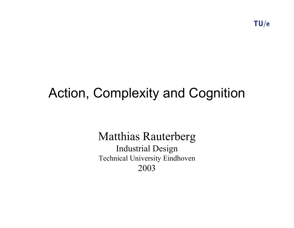$TU/e$ 

# Action, Complexity and Cognition

## Matthias Rauterberg

Industrial Design Technical University Eindhoven 2003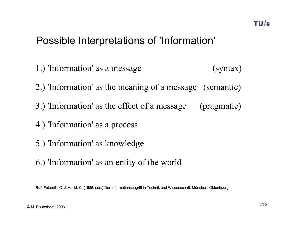## Possible Interpretations of 'Information'

1.) 'Information' as a message (syntax) 2.) 'Information' as the meaning of a message (semantic) 3.) 'Information' as the effect of a message (pragmatic) 4.) 'Information' as a process 5.) 'Information' as knowledge 6.) 'Information' as an entity of the world

**Ref**: Folberth, O. & Hackl, C. (1986, eds.) Der Informationsbegriff in Technik und Wissenschaft. München: Oldenbourg.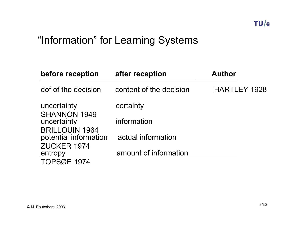## "Information" for Learning Systems

| before reception                               | after reception         | <b>Author</b>       |
|------------------------------------------------|-------------------------|---------------------|
| dof of the decision                            | content of the decision | <b>HARTLEY 1928</b> |
| uncertainty                                    | certainty               |                     |
| <b>SHANNON 1949</b><br>uncertainty             | information             |                     |
| <b>BRILLOUIN 1964</b><br>potential information | actual information      |                     |
| ZUCKER 1974<br><u>entropy</u>                  | amount of information   |                     |
| <b>TOPSØE 1974</b>                             |                         |                     |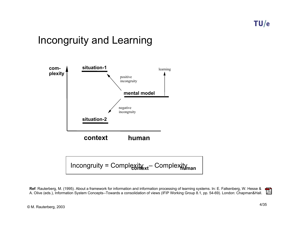## Incongruity and Learning



**Ref**: Rauterberg, M. (1995). About a framework for information and information processing of learning systems. In: E. Falkenberg, W. Hesse &  $\overline{\phantom{a}}$ A. Olive (eds.), Information System Concepts--Towards a consolidation of views (IFIP Working Group 8.1, pp. 54-69). London: Chapman&Hall.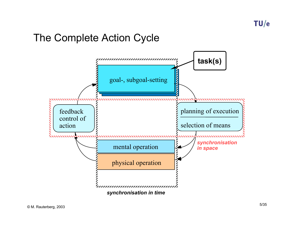## The Complete Action Cycle

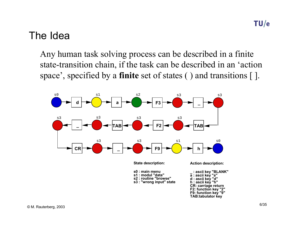## The Idea

Any human task solving process can be described in a finite state-transition chain, if the task can be described in an 'action space', specified by a **finite** set of states ( ) and transitions [ ].

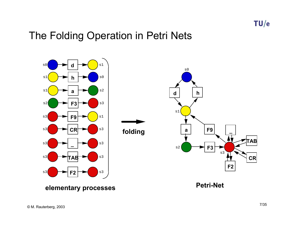## The Folding Operation in Petri Nets

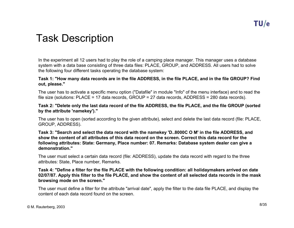## Task Description

In the experiment all 12 users had to play the role of a camping place manager. This manager uses a database system with a data base consisting of three data files: PLACE, GROUP, and ADDRESS. All users had to solve the following four different tasks operating the database system:

#### **Task 1: "How many data records are in the file ADDRESS, in the file PLACE, and in the file GROUP? Find out, please."**

The user has to activate a specific menu option ("Datafile" in module "Info" of the menu interface) and to read the file size (solutions: PLACE = 17 data records, GROUP = 27 data records, ADDRESS = 280 data records).

#### **Task 2: "Delete only the last data record of the file ADDRESS, the file PLACE, and the file GROUP (sorted by the attribute 'namekey')."**

The user has to open (sorted according to the given attribute), select and delete the last data record (file: PLACE, GROUP, ADDRESS).

**Task 3: "Search and select the data record with the namekey 'D..8000C O M' in the file ADDRESS, and show the content of all attributes of this data record on the screen. Correct this data record for the following attributes: State: Germany, Place number: 07. Remarks: Database system dealer can give a demonstration."**

The user must select a certain data record (file: ADDRESS), update the data record with regard to the three attributes: State, Place number, Remarks.

#### **Task 4: "Define a filter for the file PLACE with the following condition: all holidaymakers arrived on date 02/07/87. Apply this filter to the file PLACE, and show the content of all selected data records in the mask browsing mode on the screen."**

The user must define a filter for the attribute "arrival date", apply the filter to the data file PLACE, and display the content of each data record found on the screen.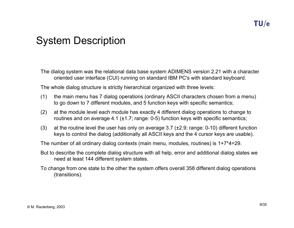## System Description

The dialog system was the relational data base system ADIMENS version 2.21 with a character oriented user interface (CUI) running on standard IBM PC's with standard keyboard.

The whole dialog structure is strictly hierarchical organized with three levels:

- (1) the main menu has 7 dialog operations (ordinary ASCII characters chosen from a menu) to go down to 7 different modules, and 5 function keys with specific semantics;
- (2) at the module level each module has exactly 4 different dialog operations to change to routines and on average 4.1 ( $\pm$ 1.7; range: 0-5) function keys with specific semantics;
- (3) at the routine level the user has only on average 3.7 ( $\pm$ 2.9; range: 0-10) different function keys to control the dialog (additionally all ASCII keys and the 4 cursor keys are usable).

The number of all ordinary dialog contexts (main menu, modules, routines) is 1+7\*4=29.

But to describe the complete dialog structure with all help, error and additional dialog states we need at least 144 different system states.

To change from one state to the other the system offers overall 358 different dialog operations (transitions).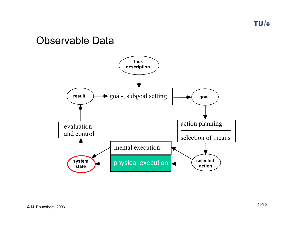TU/e

## Observable Data

![](_page_9_Figure_2.jpeg)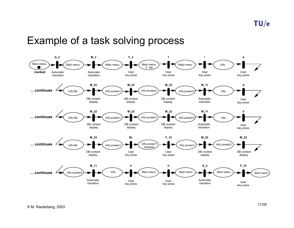## Example of a task solving process

![](_page_10_Figure_2.jpeg)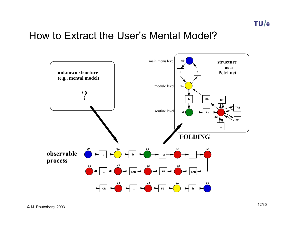## How to Extract the User's Mental Model?

![](_page_11_Figure_2.jpeg)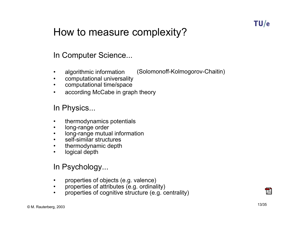## How to measure complexity?

#### In Computer Science...

- •algorithmic information (Solomonoff-Kolmogorov-Chaitin)
- •computational universality
- $\bullet$ computational time/space
- •according McCabe in graph theory

#### In Physics...

- •thermodynamics potentials
- $\bullet$ long-range order
- $\bullet$ long-range mutual information
- •self-similar structures
- $\bullet$ thermodynamic depth
- •logical depth

#### In Psychology...

- •properties of objects (e.g. valence)
- $\bullet$ properties of attributes (e.g. ordinality)
- •properties of cognitive structure (e.g. centrality)

![](_page_12_Picture_18.jpeg)

7.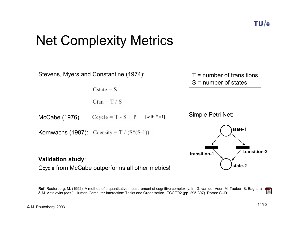# Net Complexity Metrics

![](_page_13_Figure_2.jpeg)

**Ref**: Rauterberg, M. (1992). A method of a quantitative measurement of cognitive complexity. In: G. van der Veer, M. Tauber, S. Bagnara 7. & M. Antalovits (eds.), Human-Computer Interaction: Tasks and Organisation--ECCE'92 (pp. 295-307). Roma: CUD.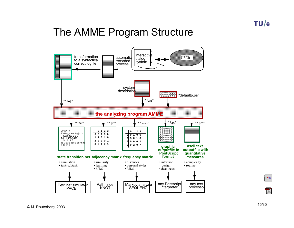## The AMME Program Structure

![](_page_14_Figure_2.jpeg)

![](_page_14_Figure_3.jpeg)

 $\odot$  M. Rauterberg, 2003 15/35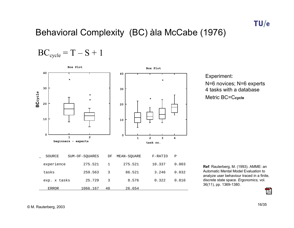### Behavioral Complexity (BC) àla McCabe (1976)

 $BC_{cycle} = T - S + 1$ 

![](_page_15_Figure_3.jpeg)

Experiment: N=6 novices; N=6 experts 4 tasks with a databaseMetric BC=C**cycle**

**Ref**: Rauterberg, M. (1993). AMME: an Automatic Mental Model Evaluation to analyze user behaviour traced in a finite, discrete state space. *Ergonomics,* vol. 36(11), pp. 1369-1380.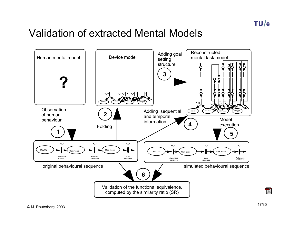## Validation of extracted Mental Models

![](_page_16_Figure_2.jpeg)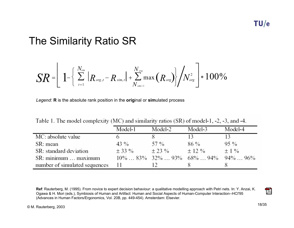## The Similarity Ratio SR

$$
SR = \left[ \left. 1 - \left( \sum_{t=1}^{N_{sim}} |R_{\text{org},t} - R_{\text{sim},t}| + \sum_{N_{sim+1}}^{N_{\text{org}}} \max(R_{\text{org}}) \right) / N_{\text{org}}^2 \right] * 100\%
$$

*Legend*: **R** is the absolute rank position in the **orig**inal or **sim**ulated process

|  |  |  |  | Table 1. The model complexity (MC) and similarity ratios (SR) of model-1, -2, -3, and -4. |  |  |  |
|--|--|--|--|-------------------------------------------------------------------------------------------|--|--|--|
|--|--|--|--|-------------------------------------------------------------------------------------------|--|--|--|

|                               | Model-1 | Model-2 | Model-3                                                                    | Model-4   |
|-------------------------------|---------|---------|----------------------------------------------------------------------------|-----------|
| MC: absolute value            |         |         |                                                                            |           |
| SR: mean                      | 43 %    | 57 %    | 86 %                                                                       | $95\%$    |
| SR: standard deviation        | $+33\%$ | $+23\%$ | $\pm$ 12 %                                                                 | $\pm$ 1 % |
| SR: minimum  maximum          |         |         | $10\% \dots 83\%$ 32\% $\ldots$ 93\% 68\% $\ldots$ 94\% 94\% $\ldots$ 96\% |           |
| number of simulated sequences | -11     |         |                                                                            |           |

**Ref**: Rauterberg, M. (1995). From novice to expert decision behaviour: a qualitative modelling approach with Petri nets. In: Y. Anzai, K. Ogawa & H. Mori (eds.), Symbiosis of Human and Artifact: Human and Social Aspects of Human-Computer Interaction--HCI'95 (Advances in Human Factors/Ergonomics, Vol. 20B, pp. 449-454). Amsterdam: Elsevier.

![](_page_17_Picture_9.jpeg)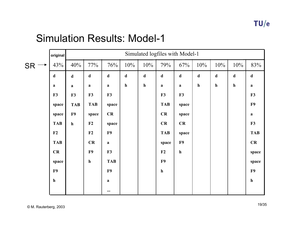|           | original    |             | Simulated logfiles with Model-1 |                         |             |             |             |              |             |             |              |              |
|-----------|-------------|-------------|---------------------------------|-------------------------|-------------|-------------|-------------|--------------|-------------|-------------|--------------|--------------|
| <b>SR</b> | 43%         | 40%         | 77%                             | 76%                     | 10%         | 10%         | 79%         | 67%          | 10%         | 10%         | 10%          | 83%          |
|           | $\mathbf d$ | $\mathbf d$ | $\mathbf d$                     | $\mathbf d$             | $\mathbf d$ | $\mathbf d$ | $\mathbf d$ | $\mathbf d$  | $\mathbf d$ | $\mathbf d$ | $\mathbf d$  | $\mathbf d$  |
|           | $\bf{a}$    | $\mathbf a$ | $\mathbf a$                     | $\mathbf{a}$            | $\mathbf h$ | $\mathbf h$ | $\mathbf a$ | $\mathbf{a}$ | $\mathbf h$ | $\mathbf h$ | $\mathbf{h}$ | $\mathbf{a}$ |
|           | F3          | F3          | F3                              | F3                      |             |             | F3          | F3           |             |             |              | F3           |
|           | space       | <b>TAB</b>  | <b>TAB</b>                      | space                   |             |             | <b>TAB</b>  | space        |             |             |              | F9           |
|           | space       | F9          | space                           | CR                      |             |             | CR          | space        |             |             |              | $\mathbf{a}$ |
|           | <b>TAB</b>  | $\mathbf h$ | F2                              | space                   |             |             | CR          | CR           |             |             |              | F3           |
|           | F2          |             | F2                              | F9                      |             |             | <b>TAB</b>  | space        |             |             |              | <b>TAB</b>   |
|           | <b>TAB</b>  |             | CR                              | $\mathbf{a}$            |             |             | space       | F9           |             |             |              | CR           |
|           | CR          |             | F9                              | F3                      |             |             | F2          | ${\bf h}$    |             |             |              | space        |
|           | space       |             | $\mathbf{h}$                    | <b>TAB</b>              |             |             | F9          |              |             |             |              | space        |
|           | F9          |             |                                 | F9                      |             |             | ${\bf h}$   |              |             |             |              | F9           |
|           | $\mathbf h$ |             |                                 | $\mathbf a$             |             |             |             |              |             |             |              | ${\bf h}$    |
|           |             |             |                                 | $\bullet\bullet\bullet$ |             |             |             |              |             |             |              |              |

### Simulation Results: Model-1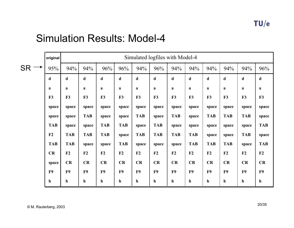### Simulation Results: Model-4

|                | original       |                | Simulated logfiles with Model-4 |              |                |             |                |              |                |                |                |              |             |
|----------------|----------------|----------------|---------------------------------|--------------|----------------|-------------|----------------|--------------|----------------|----------------|----------------|--------------|-------------|
| <b>SR</b><br>→ | 95%            | 94%            | 94%                             | 96%          | 96%            | 94%         | 96%            | 94%          | 94%            | 94%            | 94%            | 94%          | 96%         |
|                | d              | d              | $\mathbf d$                     | $\mathbf d$  | d              | $\mathbf d$ | $\mathbf d$    | $\mathbf d$  | $\mathbf d$    | d              | $\mathbf d$    | $\mathbf d$  | $\mathbf d$ |
|                | a              | a              | a                               | a            | a              | a           | a              | a            | a              | a              | a              | a            | a           |
|                | F3             | F3             | F3                              | F3           | F3             | F3          | F3             | F3           | F3             | F3             | F <sub>3</sub> | F3           | F3          |
|                | space          | space          | space                           | space        | space          | space       | space          | space        | space          | space          | space          | space        | space       |
|                | space          | space          | <b>TAB</b>                      | space        | space          | <b>TAB</b>  | space          | <b>TAB</b>   | space          | <b>TAB</b>     | <b>TAB</b>     | <b>TAB</b>   | space       |
|                | <b>TAB</b>     | space          | space                           | <b>TAB</b>   | <b>TAB</b>     | space       | <b>TAB</b>     | space        | space          | space          | space          | space        | <b>TAB</b>  |
|                | F2             | <b>TAB</b>     | <b>TAB</b>                      | <b>TAB</b>   | space          | <b>TAB</b>  | <b>TAB</b>     | <b>TAB</b>   | <b>TAB</b>     | space          | space          | <b>TAB</b>   | space       |
|                | <b>TAB</b>     | <b>TAB</b>     | space                           | space        | <b>TAB</b>     | space       | space          | space        | <b>TAB</b>     | <b>TAB</b>     | <b>TAB</b>     | space        | <b>TAB</b>  |
|                | CR             | F2             | F2                              | F2           | F2             | F2          | F2             | F2           | F2             | F2             | F2             | F2           | F2          |
|                | space          | CR             | CR                              | CR           | CR             | CR          | CR             | CR           | CR             | CR             | CR             | CR           | CR          |
|                | F <sub>9</sub> | F <sub>9</sub> | F <sub>9</sub>                  | F9           | F <sub>9</sub> | F9          | F <sub>9</sub> | F9           | F <sub>9</sub> | F <sub>9</sub> | F <sub>9</sub> | F9           | F9          |
|                | $\mathbf h$    | $\mathbf{h}$   | $\mathbf{h}$                    | $\mathbf{h}$ | h              | $\mathbf h$ | $\mathbf{h}$   | $\mathbf{h}$ | $\mathbf{h}$   | $\mathbf h$    | $\mathbf h$    | $\mathbf{h}$ | $\mathbf h$ |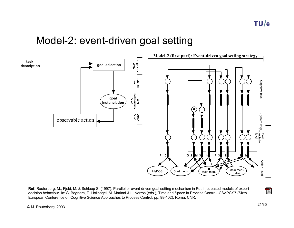## Model-2: event-driven goal setting

![](_page_20_Figure_2.jpeg)

**Ref**: Rauterberg, M., Fjeld, M. & Schluep S. (1997). Parallel or event-driven goal setting mechanism in Petri net based models of expert decision behaviour. In: S. Bagnara, E. Hollnagel, M. Mariani & L. Norros (eds.), Time and Space in Process Control--CSAPC'97 (Sixth European Conference on Cognitive Science Approaches to Process Control, pp. 98-102). Roma: CNR.

© M. Rauterberg, 2003 21/35

 $\overline{\phantom{a}}$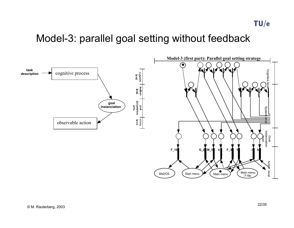TU/e

## Model-3: parallel goal setting without feedback

![](_page_21_Figure_2.jpeg)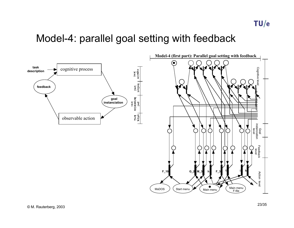## Model-4: parallel goal setting with feedback

![](_page_22_Figure_2.jpeg)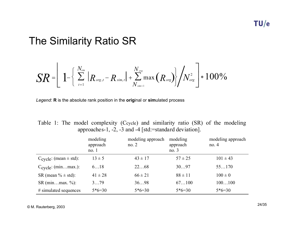## The Similarity Ratio SR

$$
SR = \left[ \left. 1 - \left( \sum_{t=1}^{N_{sim}} \left| R_{\text{org},t} - R_{\text{sim},t} \right| + \sum_{N_{sim+1}}^{N_{\text{org}}} \max \left( R_{\text{org}} \right) \right] / N_{\text{org}}^2 \right] * 100\%
$$

*Legend*: **R** is the absolute rank position in the **orig**inal or **sim**ulated process

|                                                        |  |  |  | Table 1: The model complexity (Ccycle) and similarity ratio (SR) of the modeling |  |  |  |  |  |  |  |
|--------------------------------------------------------|--|--|--|----------------------------------------------------------------------------------|--|--|--|--|--|--|--|
| approaches-1, -2, -3 and -4 [std:=standard deviation]. |  |  |  |                                                                                  |  |  |  |  |  |  |  |

|                                        | modeling<br>approach<br>no.1 | modeling approach<br>no. $2$ | modeling<br>approach<br>no. $3$ | modeling approach<br>no. $4$ |
|----------------------------------------|------------------------------|------------------------------|---------------------------------|------------------------------|
| $C_{\text{cycle}}$ : (mean $\pm$ std): | $13 \pm 5$                   | $43 \pm 17$                  | $57 \pm 25$                     | $101 \pm 43$                 |
| $C_{\text{cycle}}$ : (minmax.):        | 618                          | 2268                         | 3097                            | 55170                        |
| SR (mean $% \pm$ std):                 | $41 \pm 28$                  | $66 \pm 21$                  | $88 \pm 11$                     | $100 \pm 0$                  |
| $SR (minmax. %)$ :                     | 379                          | 3698                         | 67100                           | 100100                       |
| $\#$ simulated sequences               | $5*6=30$                     | $5*6=30$                     | $5*6=30$                        | $5*6=30$                     |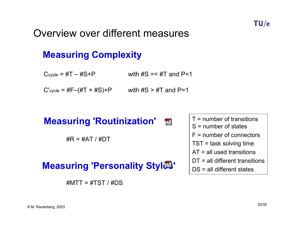## Overview over different measures

## **Measuring Complexity**

 $C_{\text{cycle}} = #T - #S + P$  with  $#S = < #T$  and  $P=1$ 

 $C'$ <sub>cycle</sub> =  $#F-(#T + #S)+P$  with  $#S > #T$  and  $P=1$ 

## **Measuring 'Routinization'**

 $\#R = \#AT / \#DT$ 

## **Measuring 'Personality Styld'**

 $\#$ MTT =  $\#$ TST /  $\#$ DS

T = number of transitionsS = number of statesF = number of connectorsTST = task solving time AT = all used transitionsDT = all different transitions DS = all different states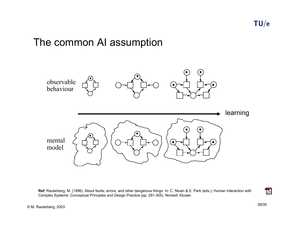## The common AI assumption

![](_page_25_Figure_2.jpeg)

**Ref**: Rauterberg, M. (1996). About faults, errors, and other dangerous things. In: C. Ntuen & E. Park (eds.), Human Interaction with Complex Systems: Conceptual Principles and Design Practice (pp. 291-305). Norwell: Kluwer.

 $\overline{\phantom{a}}$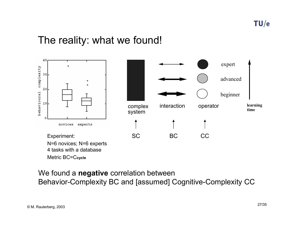## The reality: what we found!

![](_page_26_Figure_2.jpeg)

#### We found a **negative** correlation between Behavior-Complexity BC and [assumed] Cognitive-Complexity CC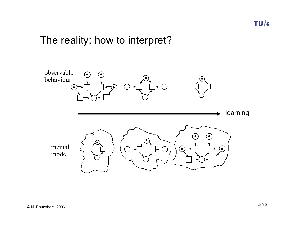## The reality: how to interpret?

![](_page_27_Figure_2.jpeg)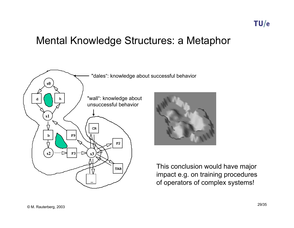## Mental Knowledge Structures: a Metaphor

![](_page_28_Figure_2.jpeg)

This conclusion would have major impact e.g. on training procedures of operators of complex systems!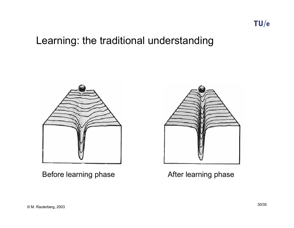## Learning: the traditional understanding

![](_page_29_Picture_2.jpeg)

Before learning phase **After learning phase** 

![](_page_29_Picture_4.jpeg)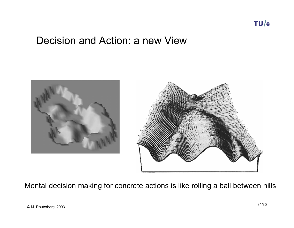## Decision and Action: a new View

![](_page_30_Picture_2.jpeg)

Mental decision making for concrete actions is like rolling a ball between hills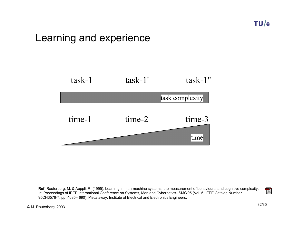## Learning and experience

![](_page_31_Figure_2.jpeg)

**Ref**: Rauterberg, M. & Aeppli, R. (1995). Learning in man-machine systems: the measurement of behavioural and cognitive complexity. In: Proceedings of IEEE International Conference on Systems, Man and Cybernetics--SMC'95 (Vol. 5, IEEE Catalog Number 95CH3576-7, pp. 4685-4690). Piscataway: Institute of Electrical and Electronics Engineers.

 $\overline{\phantom{a}}$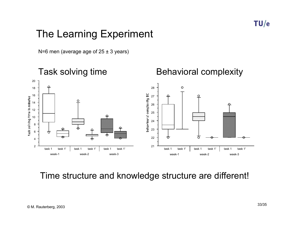## The Learning Experiment

N=6 men (average age of  $25 \pm 3$  years)

![](_page_32_Figure_3.jpeg)

Time structure and knowledge structure are different!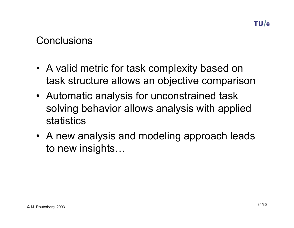## **Conclusions**

- A valid metric for task complexity based on task structure allows an objective comparison
- Automatic analysis for unconstrained task solving behavior allows analysis with applied statistics
- A new analysis and modeling approach leads to new insights…